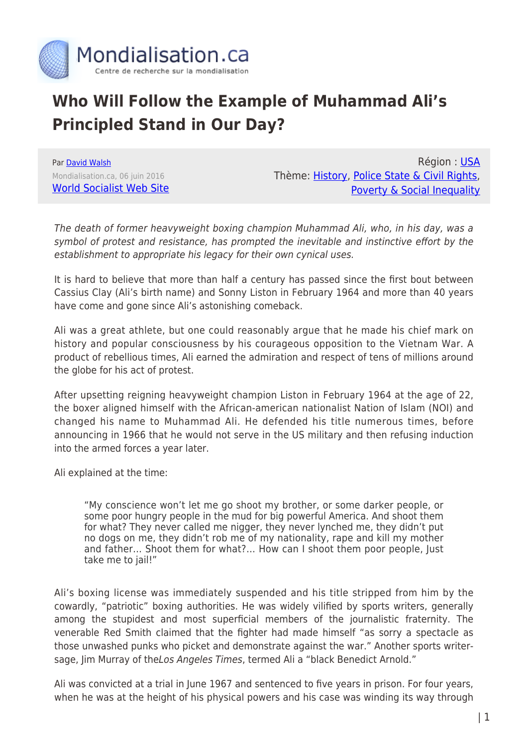

## **Who Will Follow the Example of Muhammad Ali's Principled Stand in Our Day?**

Par [David Walsh](https://www.mondialisation.ca/author/david-walsh) Mondialisation.ca, 06 juin 2016 [World Socialist Web Site](http://www.wsws.org/en/articles/2016/06/06/pers-j06.html)

Région : [USA](https://www.mondialisation.ca/region/usa) Thème: [History,](https://www.mondialisation.ca/theme/culture-society-history) [Police State & Civil Rights](https://www.mondialisation.ca/theme/police-state-civil-rights), [Poverty & Social Inequality](https://www.mondialisation.ca/theme/poverty-social-inequality)

The death of former heavyweight boxing champion Muhammad Ali, who, in his day, was a symbol of protest and resistance, has prompted the inevitable and instinctive effort by the establishment to appropriate his legacy for their own cynical uses.

It is hard to believe that more than half a century has passed since the first bout between Cassius Clay (Ali's birth name) and Sonny Liston in February 1964 and more than 40 years have come and gone since Ali's astonishing comeback.

Ali was a great athlete, but one could reasonably argue that he made his chief mark on history and popular consciousness by his courageous opposition to the Vietnam War. A product of rebellious times, Ali earned the admiration and respect of tens of millions around the globe for his act of protest.

After upsetting reigning heavyweight champion Liston in February 1964 at the age of 22, the boxer aligned himself with the African-american nationalist Nation of Islam (NOI) and changed his name to Muhammad Ali. He defended his title numerous times, before announcing in 1966 that he would not serve in the US military and then refusing induction into the armed forces a year later.

Ali explained at the time:

"My conscience won't let me go shoot my brother, or some darker people, or some poor hungry people in the mud for big powerful America. And shoot them for what? They never called me nigger, they never lynched me, they didn't put no dogs on me, they didn't rob me of my nationality, rape and kill my mother and father… Shoot them for what?… How can I shoot them poor people, Just take me to jail!"

Ali's boxing license was immediately suspended and his title stripped from him by the cowardly, "patriotic" boxing authorities. He was widely vilified by sports writers, generally among the stupidest and most superficial members of the journalistic fraternity. The venerable Red Smith claimed that the fighter had made himself "as sorry a spectacle as those unwashed punks who picket and demonstrate against the war." Another sports writersage, Jim Murray of the Los Angeles Times, termed Ali a "black Benedict Arnold."

Ali was convicted at a trial in June 1967 and sentenced to five years in prison. For four years, when he was at the height of his physical powers and his case was winding its way through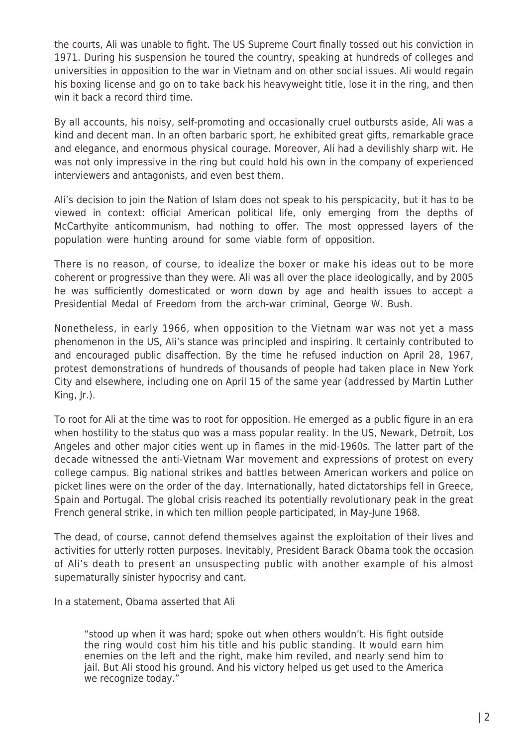the courts, Ali was unable to fight. The US Supreme Court finally tossed out his conviction in 1971. During his suspension he toured the country, speaking at hundreds of colleges and universities in opposition to the war in Vietnam and on other social issues. Ali would regain his boxing license and go on to take back his heavyweight title, lose it in the ring, and then win it back a record third time.

By all accounts, his noisy, self-promoting and occasionally cruel outbursts aside, Ali was a kind and decent man. In an often barbaric sport, he exhibited great gifts, remarkable grace and elegance, and enormous physical courage. Moreover, Ali had a devilishly sharp wit. He was not only impressive in the ring but could hold his own in the company of experienced interviewers and antagonists, and even best them.

Ali's decision to join the Nation of Islam does not speak to his perspicacity, but it has to be viewed in context: official American political life, only emerging from the depths of McCarthyite anticommunism, had nothing to offer. The most oppressed layers of the population were hunting around for some viable form of opposition.

There is no reason, of course, to idealize the boxer or make his ideas out to be more coherent or progressive than they were. Ali was all over the place ideologically, and by 2005 he was sufficiently domesticated or worn down by age and health issues to accept a Presidential Medal of Freedom from the arch-war criminal, George W. Bush.

Nonetheless, in early 1966, when opposition to the Vietnam war was not yet a mass phenomenon in the US, Ali's stance was principled and inspiring. It certainly contributed to and encouraged public disaffection. By the time he refused induction on April 28, 1967, protest demonstrations of hundreds of thousands of people had taken place in New York City and elsewhere, including one on April 15 of the same year (addressed by Martin Luther King, Ir.).

To root for Ali at the time was to root for opposition. He emerged as a public figure in an era when hostility to the status quo was a mass popular reality. In the US, Newark, Detroit, Los Angeles and other major cities went up in flames in the mid-1960s. The latter part of the decade witnessed the anti-Vietnam War movement and expressions of protest on every college campus. Big national strikes and battles between American workers and police on picket lines were on the order of the day. Internationally, hated dictatorships fell in Greece, Spain and Portugal. The global crisis reached its potentially revolutionary peak in the great French general strike, in which ten million people participated, in May-June 1968.

The dead, of course, cannot defend themselves against the exploitation of their lives and activities for utterly rotten purposes. Inevitably, President Barack Obama took the occasion of Ali's death to present an unsuspecting public with another example of his almost supernaturally sinister hypocrisy and cant.

In a statement, Obama asserted that Ali

"stood up when it was hard; spoke out when others wouldn't. His fight outside the ring would cost him his title and his public standing. It would earn him enemies on the left and the right, make him reviled, and nearly send him to jail. But Ali stood his ground. And his victory helped us get used to the America we recognize today."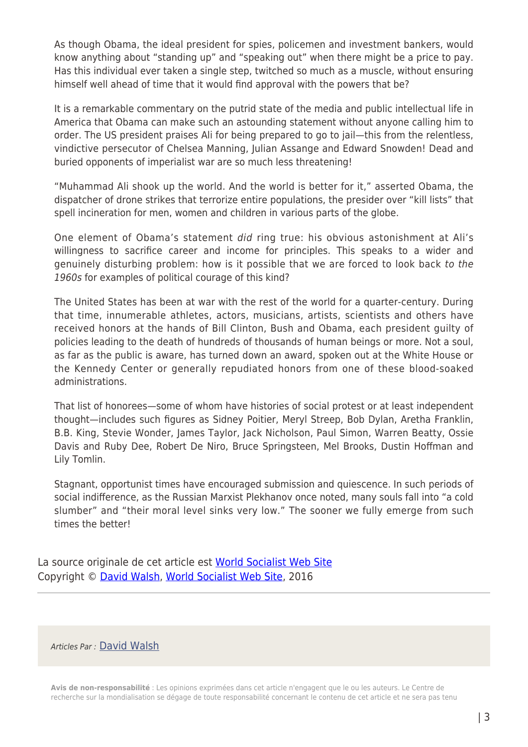As though Obama, the ideal president for spies, policemen and investment bankers, would know anything about "standing up" and "speaking out" when there might be a price to pay. Has this individual ever taken a single step, twitched so much as a muscle, without ensuring himself well ahead of time that it would find approval with the powers that be?

It is a remarkable commentary on the putrid state of the media and public intellectual life in America that Obama can make such an astounding statement without anyone calling him to order. The US president praises Ali for being prepared to go to jail—this from the relentless, vindictive persecutor of Chelsea Manning, Julian Assange and Edward Snowden! Dead and buried opponents of imperialist war are so much less threatening!

"Muhammad Ali shook up the world. And the world is better for it," asserted Obama, the dispatcher of drone strikes that terrorize entire populations, the presider over "kill lists" that spell incineration for men, women and children in various parts of the globe.

One element of Obama's statement did ring true: his obvious astonishment at Ali's willingness to sacrifice career and income for principles. This speaks to a wider and genuinely disturbing problem: how is it possible that we are forced to look back to the 1960s for examples of political courage of this kind?

The United States has been at war with the rest of the world for a quarter-century. During that time, innumerable athletes, actors, musicians, artists, scientists and others have received honors at the hands of Bill Clinton, Bush and Obama, each president guilty of policies leading to the death of hundreds of thousands of human beings or more. Not a soul, as far as the public is aware, has turned down an award, spoken out at the White House or the Kennedy Center or generally repudiated honors from one of these blood-soaked administrations.

That list of honorees—some of whom have histories of social protest or at least independent thought—includes such figures as Sidney Poitier, Meryl Streep, Bob Dylan, Aretha Franklin, B.B. King, Stevie Wonder, James Taylor, Jack Nicholson, Paul Simon, Warren Beatty, Ossie Davis and Ruby Dee, Robert De Niro, Bruce Springsteen, Mel Brooks, Dustin Hoffman and Lily Tomlin.

Stagnant, opportunist times have encouraged submission and quiescence. In such periods of social indifference, as the Russian Marxist Plekhanov once noted, many souls fall into "a cold slumber" and "their moral level sinks very low." The sooner we fully emerge from such times the better!

La source originale de cet article est [World Socialist Web Site](http://www.wsws.org/en/articles/2016/06/06/pers-j06.html) Copyright © [David Walsh](https://www.mondialisation.ca/author/david-walsh), [World Socialist Web Site,](http://www.wsws.org/en/articles/2016/06/06/pers-j06.html) 2016

## Articles Par : [David Walsh](https://www.mondialisation.ca/author/david-walsh)

**Avis de non-responsabilité** : Les opinions exprimées dans cet article n'engagent que le ou les auteurs. Le Centre de recherche sur la mondialisation se dégage de toute responsabilité concernant le contenu de cet article et ne sera pas tenu